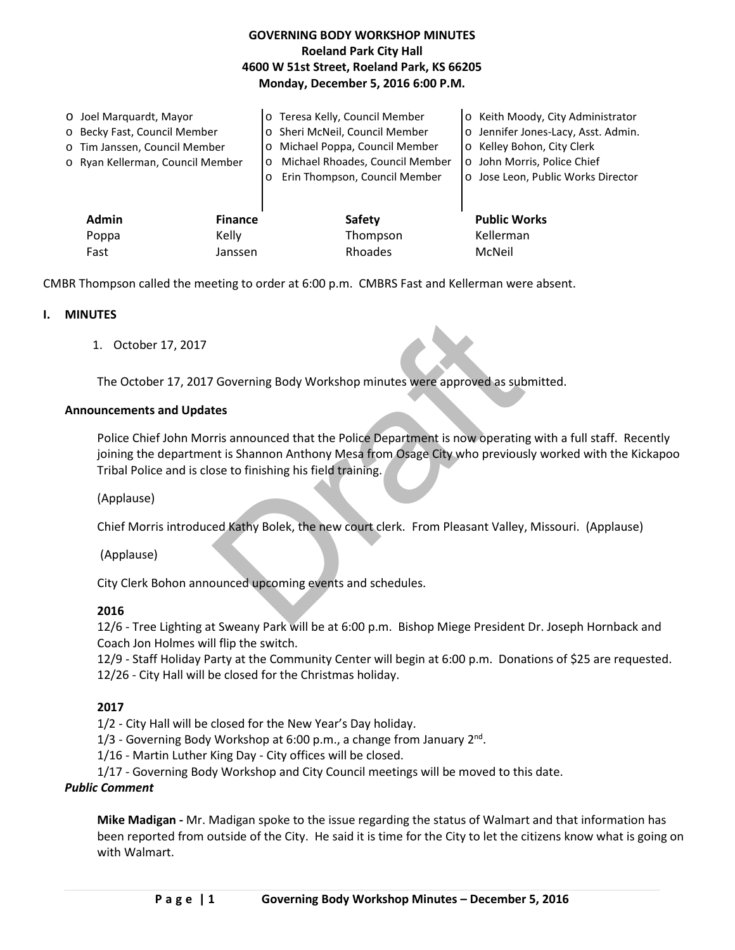| <b>GOVERNING BODY WORKSHOP MINUTES</b>     |
|--------------------------------------------|
| <b>Roeland Park City Hall</b>              |
| 4600 W 51st Street, Roeland Park, KS 66205 |
| Monday, December 5, 2016 6:00 P.M.         |

| O Joel Marguardt, Mayor        |                                  |         | o Teresa Kelly, Council Member             | o Keith Moody, City Administrator   |
|--------------------------------|----------------------------------|---------|--------------------------------------------|-------------------------------------|
| o Becky Fast, Council Member   |                                  |         | o Sheri McNeil, Council Member             | o Jennifer Jones-Lacy, Asst. Admin. |
|                                | o Tim Janssen, Council Member    |         | Michael Poppa, Council Member<br>$\circ$   | o Kelley Bohon, City Clerk          |
|                                | o Ryan Kellerman, Council Member |         | Michael Rhoades, Council Member<br>$\circ$ | o John Morris, Police Chief         |
|                                |                                  |         | Erin Thompson, Council Member              | o Jose Leon, Public Works Director  |
|                                |                                  |         |                                            |                                     |
| <b>Admin</b><br><b>Finance</b> |                                  |         | <b>Safety</b>                              | <b>Public Works</b>                 |
|                                | Poppa                            | Kelly   | Thompson                                   | Kellerman                           |
|                                | Fast                             | Janssen | Rhoades                                    | McNeil                              |

CMBR Thompson called the meeting to order at 6:00 p.m. CMBRS Fast and Kellerman were absent.

### **I. MINUTES**

1. October 17, 2017

The October 17, 2017 Governing Body Workshop minutes were approved as submitted.

### **Announcements and Updates**

Governing Body Workshop minutes were approved as sub<br>tes<br>rris announced that the Police Department is now operating<br>that is Shannon Anthony Mesa from Osage City who previous<br>bose to finishing his field training.<br>ed Kathy B Police Chief John Morris announced that the Police Department is now operating with a full staff. Recently joining the department is Shannon Anthony Mesa from Osage City who previously worked with the Kickapoo Tribal Police and is close to finishing his field training.

(Applause)

Chief Morris introduced Kathy Bolek, the new court clerk. From Pleasant Valley, Missouri. (Applause)

(Applause)

City Clerk Bohon announced upcoming events and schedules.

## **2016**

12/6 - Tree Lighting at Sweany Park will be at 6:00 p.m. Bishop Miege President Dr. Joseph Hornback and Coach Jon Holmes will flip the switch.

12/9 - Staff Holiday Party at the Community Center will begin at 6:00 p.m. Donations of \$25 are requested. 12/26 - City Hall will be closed for the Christmas holiday.

## **2017**

1/2 - City Hall will be closed for the New Year's Day holiday.

1/3 - Governing Body Workshop at 6:00 p.m., a change from January  $2^{nd}$ .

1/16 - Martin Luther King Day - City offices will be closed.

1/17 - Governing Body Workshop and City Council meetings will be moved to this date.

## *Public Comment*

**Mike Madigan -** Mr. Madigan spoke to the issue regarding the status of Walmart and that information has been reported from outside of the City. He said it is time for the City to let the citizens know what is going on with Walmart.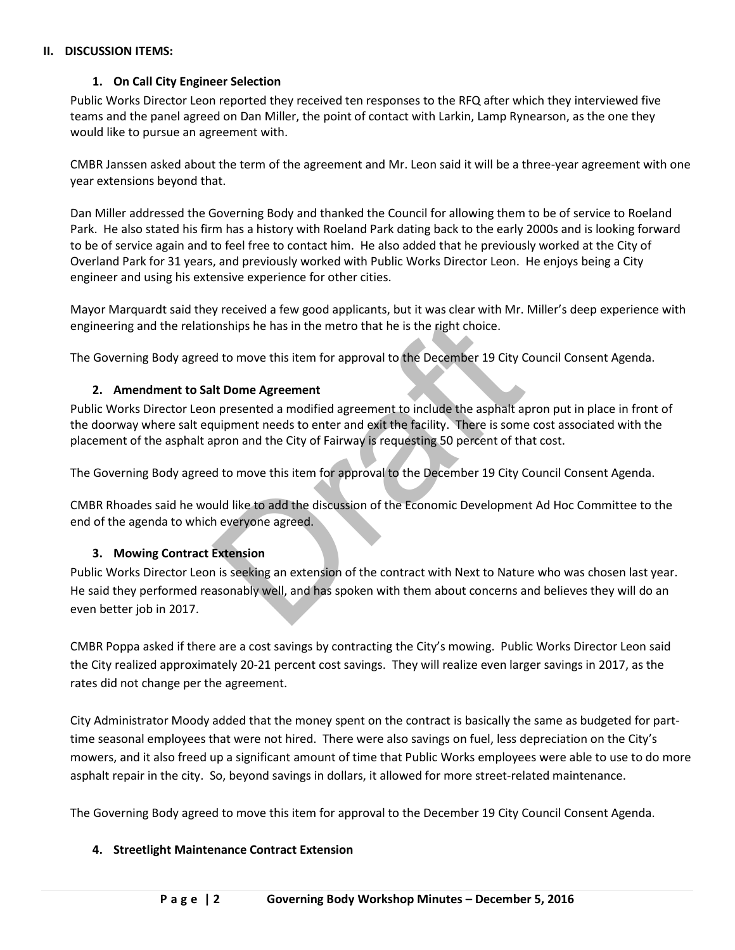### **II. DISCUSSION ITEMS:**

## **1. On Call City Engineer Selection**

Public Works Director Leon reported they received ten responses to the RFQ after which they interviewed five teams and the panel agreed on Dan Miller, the point of contact with Larkin, Lamp Rynearson, as the one they would like to pursue an agreement with.

CMBR Janssen asked about the term of the agreement and Mr. Leon said it will be a three-year agreement with one year extensions beyond that.

Dan Miller addressed the Governing Body and thanked the Council for allowing them to be of service to Roeland Park. He also stated his firm has a history with Roeland Park dating back to the early 2000s and is looking forward to be of service again and to feel free to contact him. He also added that he previously worked at the City of Overland Park for 31 years, and previously worked with Public Works Director Leon. He enjoys being a City engineer and using his extensive experience for other cities.

Mayor Marquardt said they received a few good applicants, but it was clear with Mr. Miller's deep experience with engineering and the relationships he has in the metro that he is the right choice.

The Governing Body agreed to move this item for approval to the December 19 City Council Consent Agenda.

## **2. Amendment to Salt Dome Agreement**

Public Works Director Leon presented a modified agreement to include the asphalt apron put in place in front of the doorway where salt equipment needs to enter and exit the facility. There is some cost associated with the placement of the asphalt apron and the City of Fairway is requesting 50 percent of that cost.

The Governing Body agreed to move this item for approval to the December 19 City Council Consent Agenda.

CMBR Rhoades said he would like to add the discussion of the Economic Development Ad Hoc Committee to the end of the agenda to which everyone agreed.

## **3. Mowing Contract Extension**

The most provided in the metro that he is the right choice.<br>
In the metro that he is the right choice.<br>
In the metro that he is the right choice.<br>
In the metro approval to the December 19 City C<br>
It Dome Agreement<br>
In pres Public Works Director Leon is seeking an extension of the contract with Next to Nature who was chosen last year. He said they performed reasonably well, and has spoken with them about concerns and believes they will do an even better job in 2017.

CMBR Poppa asked if there are a cost savings by contracting the City's mowing. Public Works Director Leon said the City realized approximately 20-21 percent cost savings. They will realize even larger savings in 2017, as the rates did not change per the agreement.

City Administrator Moody added that the money spent on the contract is basically the same as budgeted for parttime seasonal employees that were not hired. There were also savings on fuel, less depreciation on the City's mowers, and it also freed up a significant amount of time that Public Works employees were able to use to do more asphalt repair in the city. So, beyond savings in dollars, it allowed for more street-related maintenance.

The Governing Body agreed to move this item for approval to the December 19 City Council Consent Agenda.

## **4. Streetlight Maintenance Contract Extension**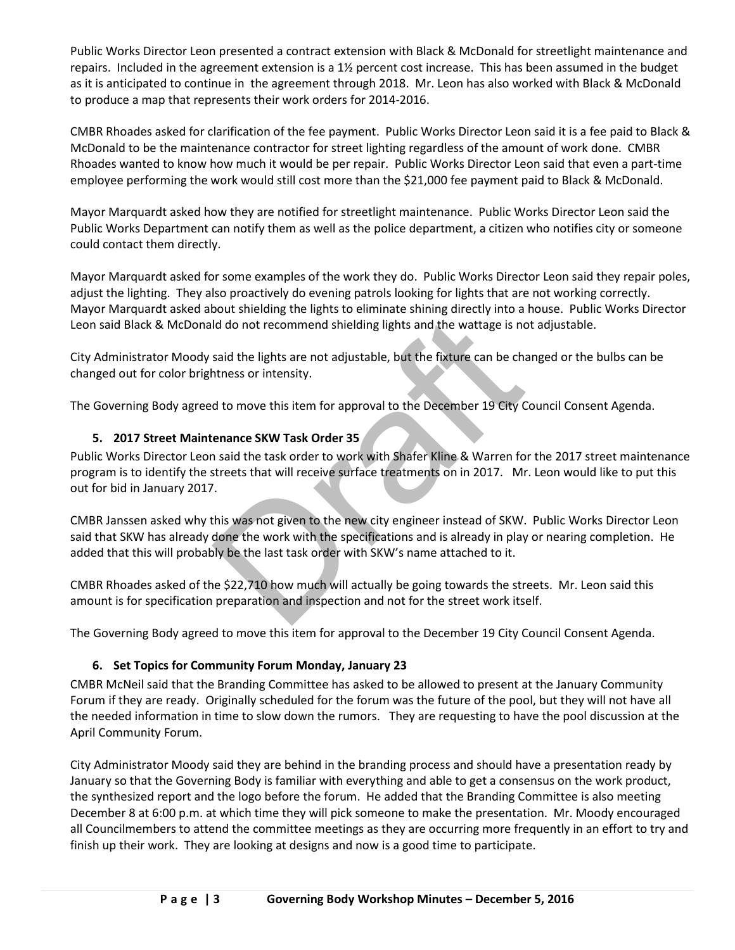Public Works Director Leon presented a contract extension with Black & McDonald for streetlight maintenance and repairs. Included in the agreement extension is a 1½ percent cost increase. This has been assumed in the budget as it is anticipated to continue in the agreement through 2018. Mr. Leon has also worked with Black & McDonald to produce a map that represents their work orders for 2014-2016.

CMBR Rhoades asked for clarification of the fee payment. Public Works Director Leon said it is a fee paid to Black & McDonald to be the maintenance contractor for street lighting regardless of the amount of work done. CMBR Rhoades wanted to know how much it would be per repair. Public Works Director Leon said that even a part-time employee performing the work would still cost more than the \$21,000 fee payment paid to Black & McDonald.

Mayor Marquardt asked how they are notified for streetlight maintenance. Public Works Director Leon said the Public Works Department can notify them as well as the police department, a citizen who notifies city or someone could contact them directly.

Mayor Marquardt asked for some examples of the work they do. Public Works Director Leon said they repair poles, adjust the lighting. They also proactively do evening patrols looking for lights that are not working correctly. Mayor Marquardt asked about shielding the lights to eliminate shining directly into a house. Public Works Director Leon said Black & McDonald do not recommend shielding lights and the wattage is not adjustable.

City Administrator Moody said the lights are not adjustable, but the fixture can be changed or the bulbs can be changed out for color brightness or intensity.

The Governing Body agreed to move this item for approval to the December 19 City Council Consent Agenda.

# **5. 2017 Street Maintenance SKW Task Order 35**

Id do not recommend shielding lights and the wattage is no<br>said the lights are not adjustable, but the fixture can be changes or intensity.<br>At to move this item for approval to the December 19 City C<br>enance SKW Task Order Public Works Director Leon said the task order to work with Shafer Kline & Warren for the 2017 street maintenance program is to identify the streets that will receive surface treatments on in 2017. Mr. Leon would like to put this out for bid in January 2017.

CMBR Janssen asked why this was not given to the new city engineer instead of SKW. Public Works Director Leon said that SKW has already done the work with the specifications and is already in play or nearing completion. He added that this will probably be the last task order with SKW's name attached to it.

CMBR Rhoades asked of the \$22,710 how much will actually be going towards the streets. Mr. Leon said this amount is for specification preparation and inspection and not for the street work itself.

The Governing Body agreed to move this item for approval to the December 19 City Council Consent Agenda.

## **6. Set Topics for Community Forum Monday, January 23**

CMBR McNeil said that the Branding Committee has asked to be allowed to present at the January Community Forum if they are ready. Originally scheduled for the forum was the future of the pool, but they will not have all the needed information in time to slow down the rumors. They are requesting to have the pool discussion at the April Community Forum.

City Administrator Moody said they are behind in the branding process and should have a presentation ready by January so that the Governing Body is familiar with everything and able to get a consensus on the work product, the synthesized report and the logo before the forum. He added that the Branding Committee is also meeting December 8 at 6:00 p.m. at which time they will pick someone to make the presentation. Mr. Moody encouraged all Councilmembers to attend the committee meetings as they are occurring more frequently in an effort to try and finish up their work. They are looking at designs and now is a good time to participate.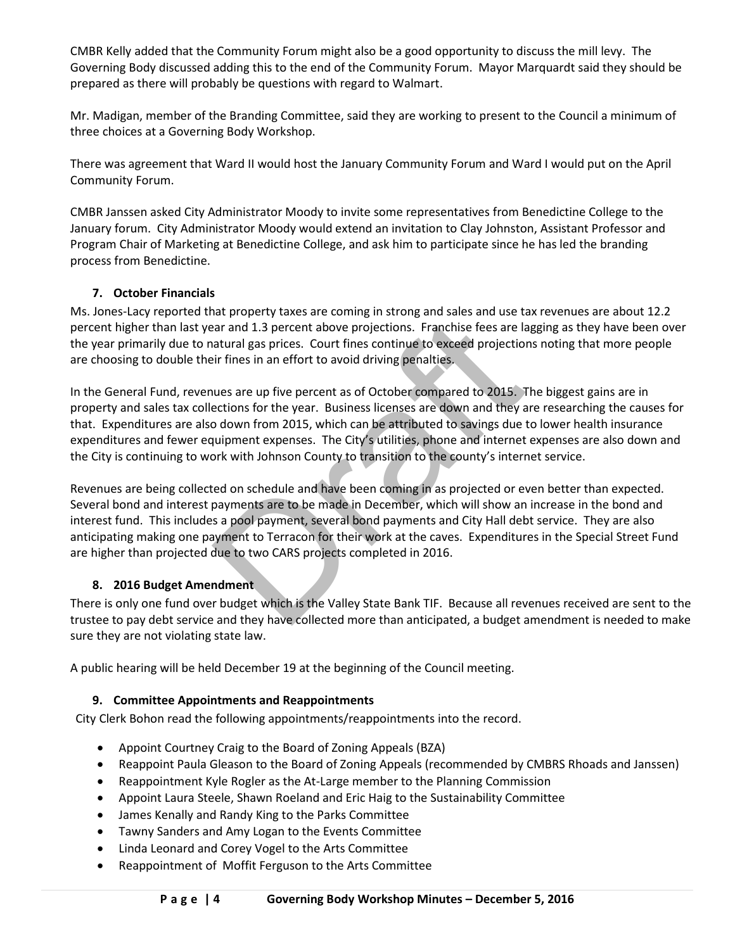CMBR Kelly added that the Community Forum might also be a good opportunity to discuss the mill levy. The Governing Body discussed adding this to the end of the Community Forum. Mayor Marquardt said they should be prepared as there will probably be questions with regard to Walmart.

Mr. Madigan, member of the Branding Committee, said they are working to present to the Council a minimum of three choices at a Governing Body Workshop.

There was agreement that Ward II would host the January Community Forum and Ward I would put on the April Community Forum.

CMBR Janssen asked City Administrator Moody to invite some representatives from Benedictine College to the January forum. City Administrator Moody would extend an invitation to Clay Johnston, Assistant Professor and Program Chair of Marketing at Benedictine College, and ask him to participate since he has led the branding process from Benedictine.

## **7. October Financials**

Ms. Jones-Lacy reported that property taxes are coming in strong and sales and use tax revenues are about 12.2 percent higher than last year and 1.3 percent above projections. Franchise fees are lagging as they have been over the year primarily due to natural gas prices. Court fines continue to exceed projections noting that more people are choosing to double their fines in an effort to avoid driving penalties.

In the General Fund, revenues are up five percent as of October compared to 2015. The biggest gains are in property and sales tax collections for the year. Business licenses are down and they are researching the causes for that. Expenditures are also down from 2015, which can be attributed to savings due to lower health insurance expenditures and fewer equipment expenses. The City's utilities, phone and internet expenses are also down and the City is continuing to work with Johnson County to transition to the county's internet service.

nare property ranges are coming in stating mations. Franchise fees are lateral at and 1.3 percent above projections. Franchise fees are lateral gas prices. Court fines continue to exceed projection ir fines in an effort to Revenues are being collected on schedule and have been coming in as projected or even better than expected. Several bond and interest payments are to be made in December, which will show an increase in the bond and interest fund. This includes a pool payment, several bond payments and City Hall debt service. They are also anticipating making one payment to Terracon for their work at the caves. Expenditures in the Special Street Fund are higher than projected due to two CARS projects completed in 2016.

## **8. 2016 Budget Amendment**

There is only one fund over budget which is the Valley State Bank TIF. Because all revenues received are sent to the trustee to pay debt service and they have collected more than anticipated, a budget amendment is needed to make sure they are not violating state law.

A public hearing will be held December 19 at the beginning of the Council meeting.

## **9. Committee Appointments and Reappointments**

City Clerk Bohon read the following appointments/reappointments into the record.

- Appoint Courtney Craig to the Board of Zoning Appeals (BZA)
- Reappoint Paula Gleason to the Board of Zoning Appeals (recommended by CMBRS Rhoads and Janssen)
- Reappointment Kyle Rogler as the At-Large member to the Planning Commission
- Appoint Laura Steele, Shawn Roeland and Eric Haig to the Sustainability Committee
- James Kenally and Randy King to the Parks Committee
- Tawny Sanders and Amy Logan to the Events Committee
- Linda Leonard and Corey Vogel to the Arts Committee
- Reappointment of Moffit Ferguson to the Arts Committee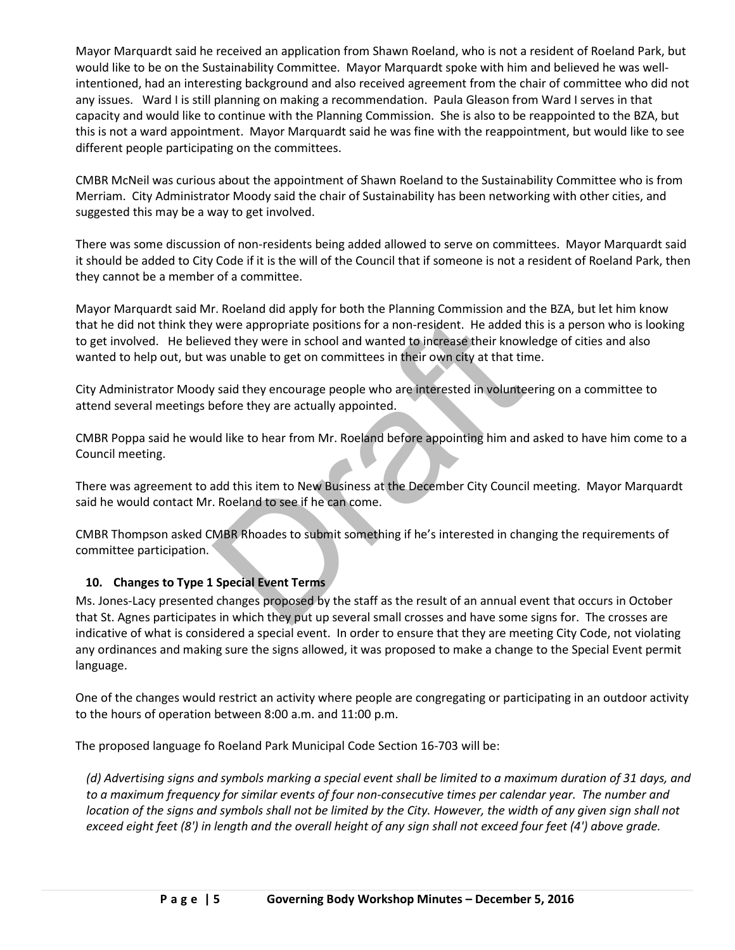Mayor Marquardt said he received an application from Shawn Roeland, who is not a resident of Roeland Park, but would like to be on the Sustainability Committee. Mayor Marquardt spoke with him and believed he was wellintentioned, had an interesting background and also received agreement from the chair of committee who did not any issues. Ward I is still planning on making a recommendation. Paula Gleason from Ward I serves in that capacity and would like to continue with the Planning Commission. She is also to be reappointed to the BZA, but this is not a ward appointment. Mayor Marquardt said he was fine with the reappointment, but would like to see different people participating on the committees.

CMBR McNeil was curious about the appointment of Shawn Roeland to the Sustainability Committee who is from Merriam. City Administrator Moody said the chair of Sustainability has been networking with other cities, and suggested this may be a way to get involved.

There was some discussion of non-residents being added allowed to serve on committees. Mayor Marquardt said it should be added to City Code if it is the will of the Council that if someone is not a resident of Roeland Park, then they cannot be a member of a committee.

The appropriate positions for a non-resident. He added that the verture in school and wanted to increase their know<br>The vast unable to get on committees in their own city at that tirtured<br>State was unable to get on committ Mayor Marquardt said Mr. Roeland did apply for both the Planning Commission and the BZA, but let him know that he did not think they were appropriate positions for a non-resident. He added this is a person who is looking to get involved. He believed they were in school and wanted to increase their knowledge of cities and also wanted to help out, but was unable to get on committees in their own city at that time.

City Administrator Moody said they encourage people who are interested in volunteering on a committee to attend several meetings before they are actually appointed.

CMBR Poppa said he would like to hear from Mr. Roeland before appointing him and asked to have him come to a Council meeting.

There was agreement to add this item to New Business at the December City Council meeting. Mayor Marquardt said he would contact Mr. Roeland to see if he can come.

CMBR Thompson asked CMBR Rhoades to submit something if he's interested in changing the requirements of committee participation.

## **10. Changes to Type 1 Special Event Terms**

Ms. Jones-Lacy presented changes proposed by the staff as the result of an annual event that occurs in October that St. Agnes participates in which they put up several small crosses and have some signs for. The crosses are indicative of what is considered a special event. In order to ensure that they are meeting City Code, not violating any ordinances and making sure the signs allowed, it was proposed to make a change to the Special Event permit language.

One of the changes would restrict an activity where people are congregating or participating in an outdoor activity to the hours of operation between 8:00 a.m. and 11:00 p.m.

The proposed language fo Roeland Park Municipal Code Section 16-703 will be:

*(d) Advertising signs and symbols marking a special event shall be limited to a maximum duration of 31 days, and to a maximum frequency for similar events of four non-consecutive times per calendar year. The number and location of the signs and symbols shall not be limited by the City. However, the width of any given sign shall not exceed eight feet (8') in length and the overall height of any sign shall not exceed four feet (4') above grade.*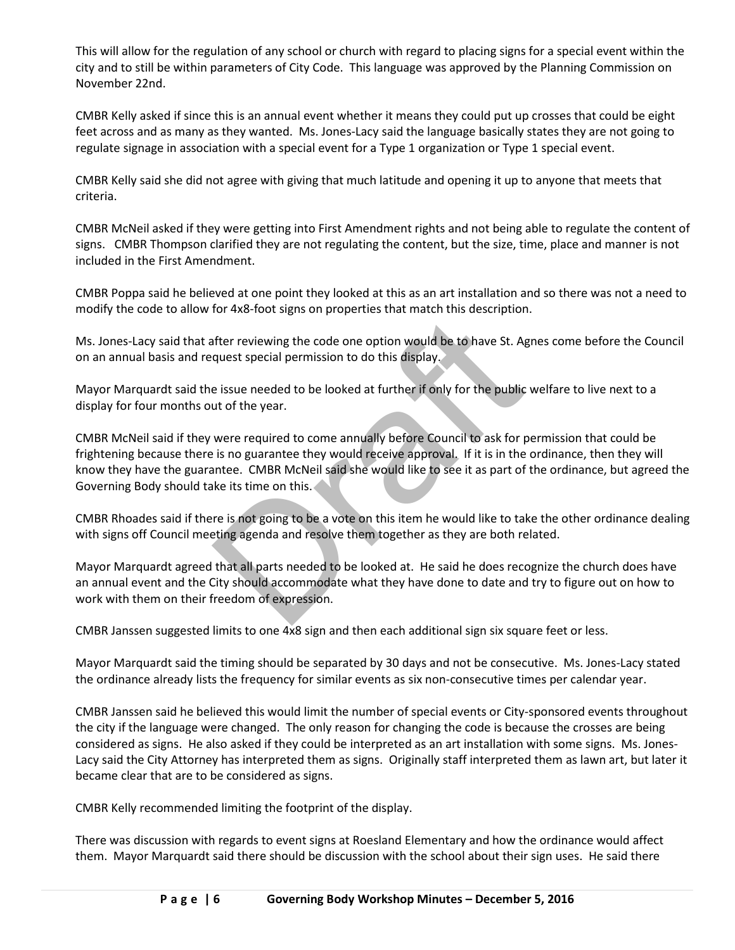This will allow for the regulation of any school or church with regard to placing signs for a special event within the city and to still be within parameters of City Code. This language was approved by the Planning Commission on November 22nd.

CMBR Kelly asked if since this is an annual event whether it means they could put up crosses that could be eight feet across and as many as they wanted. Ms. Jones-Lacy said the language basically states they are not going to regulate signage in association with a special event for a Type 1 organization or Type 1 special event.

CMBR Kelly said she did not agree with giving that much latitude and opening it up to anyone that meets that criteria.

CMBR McNeil asked if they were getting into First Amendment rights and not being able to regulate the content of signs. CMBR Thompson clarified they are not regulating the content, but the size, time, place and manner is not included in the First Amendment.

CMBR Poppa said he believed at one point they looked at this as an art installation and so there was not a need to modify the code to allow for 4x8-foot signs on properties that match this description.

Ms. Jones-Lacy said that after reviewing the code one option would be to have St. Agnes come before the Council on an annual basis and request special permission to do this display.

Mayor Marquardt said the issue needed to be looked at further if only for the public welfare to live next to a display for four months out of the year.

The previewing the code one option would be to have St. Aguest special permission to do this display.<br>
Le issue needed to be looked at further if only for the public ut of the year.<br>
Were required to come annually before C CMBR McNeil said if they were required to come annually before Council to ask for permission that could be frightening because there is no guarantee they would receive approval. If it is in the ordinance, then they will know they have the guarantee. CMBR McNeil said she would like to see it as part of the ordinance, but agreed the Governing Body should take its time on this.

CMBR Rhoades said if there is not going to be a vote on this item he would like to take the other ordinance dealing with signs off Council meeting agenda and resolve them together as they are both related.

Mayor Marquardt agreed that all parts needed to be looked at. He said he does recognize the church does have an annual event and the City should accommodate what they have done to date and try to figure out on how to work with them on their freedom of expression.

CMBR Janssen suggested limits to one 4x8 sign and then each additional sign six square feet or less.

Mayor Marquardt said the timing should be separated by 30 days and not be consecutive. Ms. Jones-Lacy stated the ordinance already lists the frequency for similar events as six non-consecutive times per calendar year.

CMBR Janssen said he believed this would limit the number of special events or City-sponsored events throughout the city if the language were changed. The only reason for changing the code is because the crosses are being considered as signs. He also asked if they could be interpreted as an art installation with some signs. Ms. Jones-Lacy said the City Attorney has interpreted them as signs. Originally staff interpreted them as lawn art, but later it became clear that are to be considered as signs.

CMBR Kelly recommended limiting the footprint of the display.

There was discussion with regards to event signs at Roesland Elementary and how the ordinance would affect them. Mayor Marquardt said there should be discussion with the school about their sign uses. He said there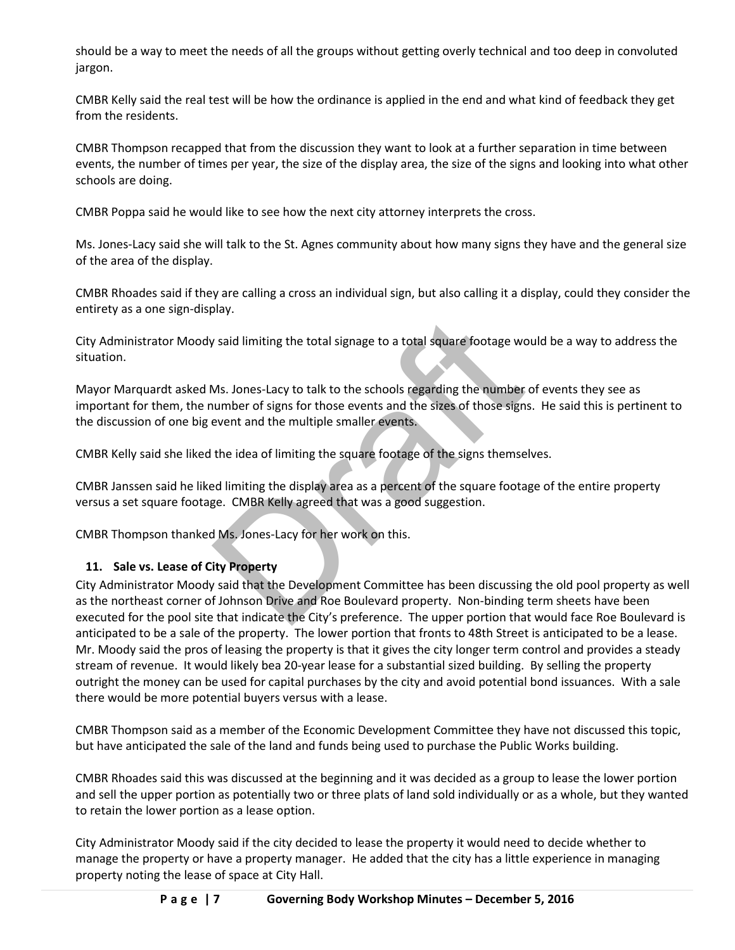should be a way to meet the needs of all the groups without getting overly technical and too deep in convoluted jargon.

CMBR Kelly said the real test will be how the ordinance is applied in the end and what kind of feedback they get from the residents.

CMBR Thompson recapped that from the discussion they want to look at a further separation in time between events, the number of times per year, the size of the display area, the size of the signs and looking into what other schools are doing.

CMBR Poppa said he would like to see how the next city attorney interprets the cross.

Ms. Jones-Lacy said she will talk to the St. Agnes community about how many signs they have and the general size of the area of the display.

CMBR Rhoades said if they are calling a cross an individual sign, but also calling it a display, could they consider the entirety as a one sign-display.

City Administrator Moody said limiting the total signage to a total square footage would be a way to address the situation.

Mayor Marquardt asked Ms. Jones-Lacy to talk to the schools regarding the number of events they see as important for them, the number of signs for those events and the sizes of those signs. He said this is pertinent to the discussion of one big event and the multiple smaller events.

CMBR Kelly said she liked the idea of limiting the square footage of the signs themselves.

CMBR Janssen said he liked limiting the display area as a percent of the square footage of the entire property versus a set square footage. CMBR Kelly agreed that was a good suggestion.

CMBR Thompson thanked Ms. Jones-Lacy for her work on this.

## **11. Sale vs. Lease of City Property**

*s* and limiting the total signage to a total square footage wo<br>
Ms. Jones-Lacy to talk to the schools regarding the number<br>
number of signs for those events and the sizes of those sign<br>
event and the multiple smaller even City Administrator Moody said that the Development Committee has been discussing the old pool property as well as the northeast corner of Johnson Drive and Roe Boulevard property. Non-binding term sheets have been executed for the pool site that indicate the City's preference. The upper portion that would face Roe Boulevard is anticipated to be a sale of the property. The lower portion that fronts to 48th Street is anticipated to be a lease. Mr. Moody said the pros of leasing the property is that it gives the city longer term control and provides a steady stream of revenue. It would likely bea 20-year lease for a substantial sized building. By selling the property outright the money can be used for capital purchases by the city and avoid potential bond issuances. With a sale there would be more potential buyers versus with a lease.

CMBR Thompson said as a member of the Economic Development Committee they have not discussed this topic, but have anticipated the sale of the land and funds being used to purchase the Public Works building.

CMBR Rhoades said this was discussed at the beginning and it was decided as a group to lease the lower portion and sell the upper portion as potentially two or three plats of land sold individually or as a whole, but they wanted to retain the lower portion as a lease option.

City Administrator Moody said if the city decided to lease the property it would need to decide whether to manage the property or have a property manager. He added that the city has a little experience in managing property noting the lease of space at City Hall.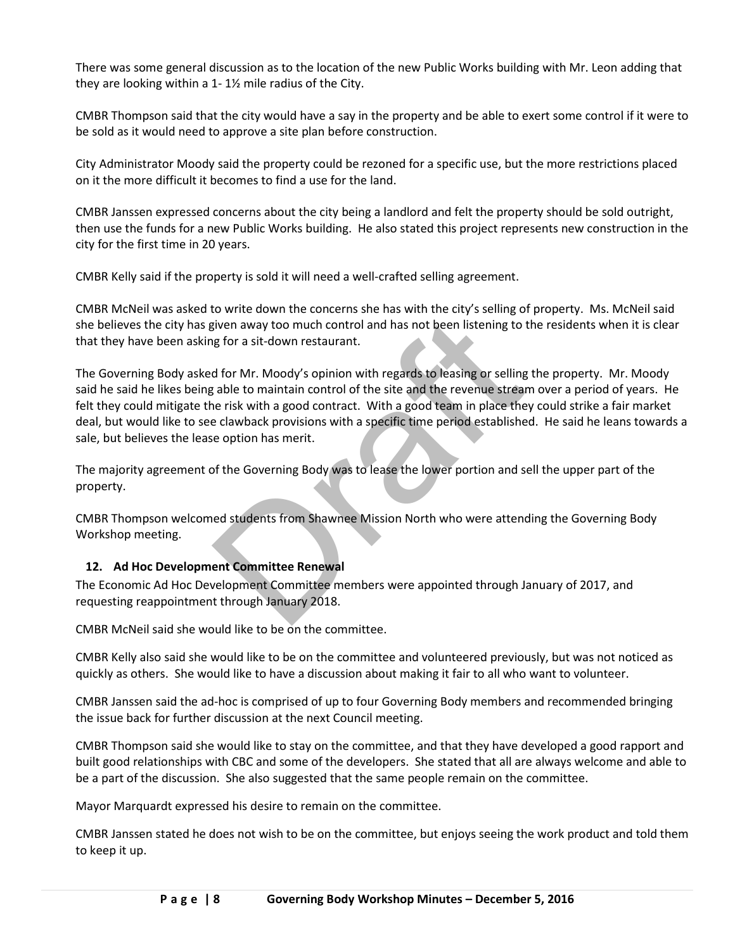There was some general discussion as to the location of the new Public Works building with Mr. Leon adding that they are looking within a 1- 1½ mile radius of the City.

CMBR Thompson said that the city would have a say in the property and be able to exert some control if it were to be sold as it would need to approve a site plan before construction.

City Administrator Moody said the property could be rezoned for a specific use, but the more restrictions placed on it the more difficult it becomes to find a use for the land.

CMBR Janssen expressed concerns about the city being a landlord and felt the property should be sold outright, then use the funds for a new Public Works building. He also stated this project represents new construction in the city for the first time in 20 years.

CMBR Kelly said if the property is sold it will need a well-crafted selling agreement.

CMBR McNeil was asked to write down the concerns she has with the city's selling of property. Ms. McNeil said she believes the city has given away too much control and has not been listening to the residents when it is clear that they have been asking for a sit-down restaurant.

isten away too much control and has not been listening to the properties of the same of the set of or Mr. Moody's opinion with regards to leasing or selling to the site and the revenue stream and the revenue stream is a go The Governing Body asked for Mr. Moody's opinion with regards to leasing or selling the property. Mr. Moody said he said he likes being able to maintain control of the site and the revenue stream over a period of years. He felt they could mitigate the risk with a good contract. With a good team in place they could strike a fair market deal, but would like to see clawback provisions with a specific time period established. He said he leans towards a sale, but believes the lease option has merit.

The majority agreement of the Governing Body was to lease the lower portion and sell the upper part of the property.

CMBR Thompson welcomed students from Shawnee Mission North who were attending the Governing Body Workshop meeting.

## **12. Ad Hoc Development Committee Renewal**

The Economic Ad Hoc Development Committee members were appointed through January of 2017, and requesting reappointment through January 2018.

CMBR McNeil said she would like to be on the committee.

CMBR Kelly also said she would like to be on the committee and volunteered previously, but was not noticed as quickly as others. She would like to have a discussion about making it fair to all who want to volunteer.

CMBR Janssen said the ad-hoc is comprised of up to four Governing Body members and recommended bringing the issue back for further discussion at the next Council meeting.

CMBR Thompson said she would like to stay on the committee, and that they have developed a good rapport and built good relationships with CBC and some of the developers. She stated that all are always welcome and able to be a part of the discussion. She also suggested that the same people remain on the committee.

Mayor Marquardt expressed his desire to remain on the committee.

CMBR Janssen stated he does not wish to be on the committee, but enjoys seeing the work product and told them to keep it up.